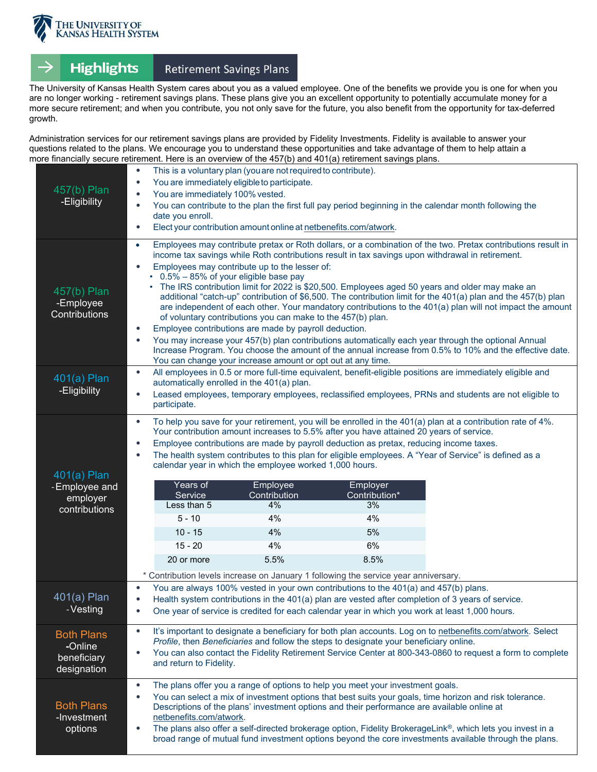

## Retirement Savings Plans **Highlights**

The University of Kansas Health System cares about you as a valued employee. One of the benefits we provide you is one for when you are no longer working - retirement savings plans. These plans give you an excellent opportunity to potentially accumulate money for a more secure retirement; and when you contribute, you not only save for the future, you also benefit from the opportunity for tax-deferred growth.

Administration services for our retirement savings plans are provided by Fidelity Investments. Fidelity is available to answer your questions related to the plans. We encourage you to understand these opportunities and take advantage of them to help attain a more financially secure retirement. Here is an overview of the 457(b) and 401(a) retirement savings plans.

| 457(b) Plan<br>-Eligibility                                  | This is a voluntary plan (you are not required to contribute).<br>$\bullet$<br>You are immediately eligible to participate.<br>You are immediately 100% vested.<br>You can contribute to the plan the first full pay period beginning in the calendar month following the<br>date you enroll.<br>Elect your contribution amount online at netbenefits.com/atwork.<br>$\bullet$                                                                                                                                                                                        |                                                                                                                                                                                                                                                                                                                                                                                                                                                                                                                                                                                                                                                                                                                                                                                                                                                                                                                                                                                                                                                    |                                                                                                                                                                                                                                                |                                                                                                                                                                                                                             |  |
|--------------------------------------------------------------|-----------------------------------------------------------------------------------------------------------------------------------------------------------------------------------------------------------------------------------------------------------------------------------------------------------------------------------------------------------------------------------------------------------------------------------------------------------------------------------------------------------------------------------------------------------------------|----------------------------------------------------------------------------------------------------------------------------------------------------------------------------------------------------------------------------------------------------------------------------------------------------------------------------------------------------------------------------------------------------------------------------------------------------------------------------------------------------------------------------------------------------------------------------------------------------------------------------------------------------------------------------------------------------------------------------------------------------------------------------------------------------------------------------------------------------------------------------------------------------------------------------------------------------------------------------------------------------------------------------------------------------|------------------------------------------------------------------------------------------------------------------------------------------------------------------------------------------------------------------------------------------------|-----------------------------------------------------------------------------------------------------------------------------------------------------------------------------------------------------------------------------|--|
| 457(b) Plan<br>-Employee<br>Contributions                    | $\bullet$                                                                                                                                                                                                                                                                                                                                                                                                                                                                                                                                                             | Employees may contribute pretax or Roth dollars, or a combination of the two. Pretax contributions result in<br>income tax savings while Roth contributions result in tax savings upon withdrawal in retirement.<br>Employees may contribute up to the lesser of:<br>0.5% - 85% of your eligible base pay<br>The IRS contribution limit for 2022 is \$20,500. Employees aged 50 years and older may make an<br>additional "catch-up" contribution of \$6,500. The contribution limit for the 401(a) plan and the 457(b) plan<br>are independent of each other. Your mandatory contributions to the 401(a) plan will not impact the amount<br>of voluntary contributions you can make to the 457(b) plan.<br>Employee contributions are made by payroll deduction.<br>You may increase your 457(b) plan contributions automatically each year through the optional Annual<br>Increase Program. You choose the amount of the annual increase from 0.5% to 10% and the effective date.<br>You can change your increase amount or opt out at any time. |                                                                                                                                                                                                                                                |                                                                                                                                                                                                                             |  |
| 401(a) Plan<br>-Eligibility                                  | All employees in 0.5 or more full-time equivalent, benefit-eligible positions are immediately eligible and<br>$\bullet$<br>automatically enrolled in the 401(a) plan.<br>Leased employees, temporary employees, reclassified employees, PRNs and students are not eligible to<br>$\bullet$<br>participate.                                                                                                                                                                                                                                                            |                                                                                                                                                                                                                                                                                                                                                                                                                                                                                                                                                                                                                                                                                                                                                                                                                                                                                                                                                                                                                                                    |                                                                                                                                                                                                                                                |                                                                                                                                                                                                                             |  |
| $401(a)$ Plan<br>- Employee and<br>employer<br>contributions | $\bullet$<br>$\bullet$<br>$\bullet$<br>Years of<br>Service<br>Less than 5<br>$5 - 10$<br>$10 - 15$<br>$15 - 20$<br>20 or more                                                                                                                                                                                                                                                                                                                                                                                                                                         | calendar year in which the employee worked 1,000 hours.<br>Employee<br>Contribution<br>4%<br>4%<br>4%<br>4%<br>5.5%                                                                                                                                                                                                                                                                                                                                                                                                                                                                                                                                                                                                                                                                                                                                                                                                                                                                                                                                | Your contribution amount increases to 5.5% after you have attained 20 years of service.<br>Employee contributions are made by payroll deduction as pretax, reducing income taxes.<br>Employer<br>Contribution*<br>3%<br>4%<br>5%<br>6%<br>8.5% | To help you save for your retirement, you will be enrolled in the $401(a)$ plan at a contribution rate of $4\%$ .<br>The health system contributes to this plan for eligible employees. A "Year of Service" is defined as a |  |
| 401(a) Plan<br>- Vesting                                     | * Contribution levels increase on January 1 following the service year anniversary.<br>You are always 100% vested in your own contributions to the 401(a) and 457(b) plans.<br>Health system contributions in the 401(a) plan are vested after completion of 3 years of service.<br>One year of service is credited for each calendar year in which you work at least 1,000 hours.<br>$\bullet$                                                                                                                                                                       |                                                                                                                                                                                                                                                                                                                                                                                                                                                                                                                                                                                                                                                                                                                                                                                                                                                                                                                                                                                                                                                    |                                                                                                                                                                                                                                                |                                                                                                                                                                                                                             |  |
| <b>Both Plans</b><br>-Online<br>beneficiary<br>designation   | It's important to designate a beneficiary for both plan accounts. Log on to netbenefits.com/atwork. Select<br>$\bullet$<br>Profile, then Beneficiaries and follow the steps to designate your beneficiary online.<br>You can also contact the Fidelity Retirement Service Center at 800-343-0860 to request a form to complete<br>$\bullet$<br>and return to Fidelity.                                                                                                                                                                                                |                                                                                                                                                                                                                                                                                                                                                                                                                                                                                                                                                                                                                                                                                                                                                                                                                                                                                                                                                                                                                                                    |                                                                                                                                                                                                                                                |                                                                                                                                                                                                                             |  |
| <b>Both Plans</b><br>-Investment<br>options                  | The plans offer you a range of options to help you meet your investment goals.<br>$\bullet$<br>You can select a mix of investment options that best suits your goals, time horizon and risk tolerance.<br>Descriptions of the plans' investment options and their performance are available online at<br>netbenefits.com/atwork.<br>The plans also offer a self-directed brokerage option, Fidelity BrokerageLink®, which lets you invest in a<br>$\bullet$<br>broad range of mutual fund investment options beyond the core investments available through the plans. |                                                                                                                                                                                                                                                                                                                                                                                                                                                                                                                                                                                                                                                                                                                                                                                                                                                                                                                                                                                                                                                    |                                                                                                                                                                                                                                                |                                                                                                                                                                                                                             |  |